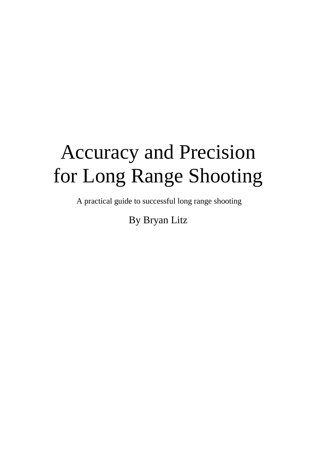# Accuracy and Precision for Long Range Shooting

A practical guide to successful long range shooting

#### By Bryan Litz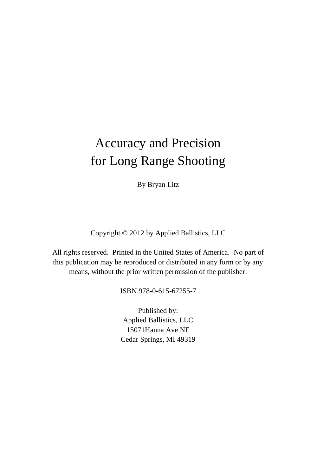## Accuracy and Precision for Long Range Shooting

By Bryan Litz

Copyright © 2012 by Applied Ballistics, LLC

All rights reserved. Printed in the United States of America. No part of this publication may be reproduced or distributed in any form or by any means, without the prior written permission of the publisher.

ISBN 978-0-615-67255-7

Published by: Applied Ballistics, LLC 15071Hanna Ave NE Cedar Springs, MI 49319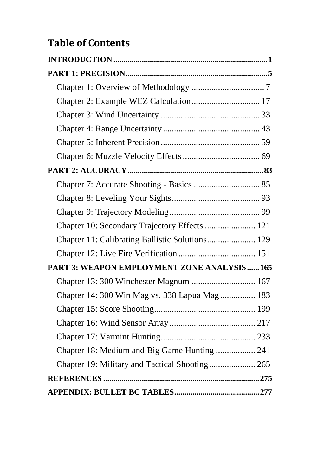## **Table of Contents**

| Chapter 2: Example WEZ Calculation 17           |  |
|-------------------------------------------------|--|
|                                                 |  |
|                                                 |  |
|                                                 |  |
|                                                 |  |
|                                                 |  |
| Chapter 7: Accurate Shooting - Basics  85       |  |
|                                                 |  |
|                                                 |  |
| Chapter 10: Secondary Trajectory Effects  121   |  |
| Chapter 11: Calibrating Ballistic Solutions 129 |  |
|                                                 |  |
| PART 3: WEAPON EMPLOYMENT ZONE ANALYSIS 165     |  |
| Chapter 13: 300 Winchester Magnum  167          |  |
| Chapter 14: 300 Win Mag vs. 338 Lapua Mag 183   |  |
|                                                 |  |
|                                                 |  |
|                                                 |  |
| Chapter 18: Medium and Big Game Hunting  241    |  |
|                                                 |  |
|                                                 |  |
|                                                 |  |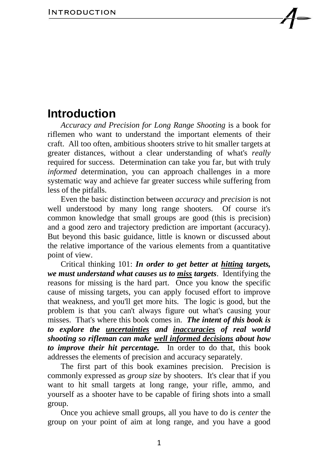### **Introduction**

*Accuracy and Precision for Long Range Shooting* is a book for riflemen who want to understand the important elements of their craft. All too often, ambitious shooters strive to hit smaller targets at greater distances, without a clear understanding of what's *really*  required for success. Determination can take you far, but with truly *informed* determination, you can approach challenges in a more systematic way and achieve far greater success while suffering from less of the pitfalls.

Even the basic distinction between *accuracy* and *precision* is not well understood by many long range shooters. Of course it's common knowledge that small groups are good (this is precision) and a good zero and trajectory prediction are important (accuracy). But beyond this basic guidance, little is known or discussed about the relative importance of the various elements from a quantitative point of view.

Critical thinking 101: *In order to get better at hitting targets, we must understand what causes us to miss targets*. Identifying the reasons for missing is the hard part. Once you know the specific cause of missing targets, you can apply focused effort to improve that weakness, and you'll get more hits. The logic is good, but the problem is that you can't always figure out what's causing your misses. That's where this book comes in. *The intent of this book is to explore the uncertainties and inaccuracies of real world shooting so rifleman can make well informed decisions about how to improve their hit percentage.* In order to do that, this book addresses the elements of precision and accuracy separately.

The first part of this book examines precision. Precision is commonly expressed as *group size* by shooters. It's clear that if you want to hit small targets at long range, your rifle, ammo, and yourself as a shooter have to be capable of firing shots into a small group.

Once you achieve small groups, all you have to do is *center* the group on your point of aim at long range, and you have a good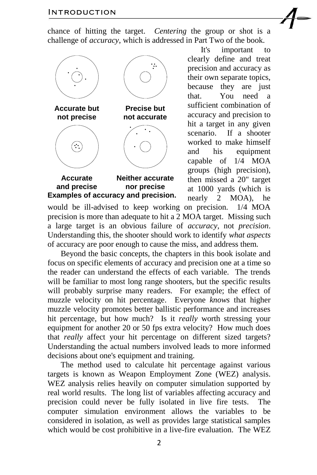chance of hitting the target. *Centering* the group or shot is a challenge of *accuracy*, which is addressed in Part Two of the book.



It's important to clearly define and treat precision and accuracy as their own separate topics, because they are just that. You need a sufficient combination of accuracy and precision to hit a target in any given scenario. If a shooter worked to make himself and his equipment capable of 1/4 MOA groups (high precision), then missed a 20" target at 1000 yards (which is nearly 2 MOA), he

would be ill-advised to keep working on precision. 1/4 MOA precision is more than adequate to hit a 2 MOA target. Missing such a large target is an obvious failure of *accuracy*, not *precision*. Understanding this, the shooter should work to identify *what aspects*  of accuracy are poor enough to cause the miss, and address them.

Beyond the basic concepts, the chapters in this book isolate and focus on specific elements of accuracy and precision one at a time so the reader can understand the effects of each variable. The trends will be familiar to most long range shooters, but the specific results will probably surprise many readers. For example; the effect of muzzle velocity on hit percentage. Everyone *knows* that higher muzzle velocity promotes better ballistic performance and increases hit percentage, but how much? Is it *really* worth stressing your equipment for another 20 or 50 fps extra velocity? How much does that *really* affect your hit percentage on different sized targets? Understanding the actual numbers involved leads to more informed decisions about one's equipment and training.

The method used to calculate hit percentage against various targets is known as Weapon Employment Zone (WEZ) analysis. WEZ analysis relies heavily on computer simulation supported by real world results. The long list of variables affecting accuracy and precision could never be fully isolated in live fire tests. The computer simulation environment allows the variables to be considered in isolation, as well as provides large statistical samples which would be cost prohibitive in a live-fire evaluation. The WEZ